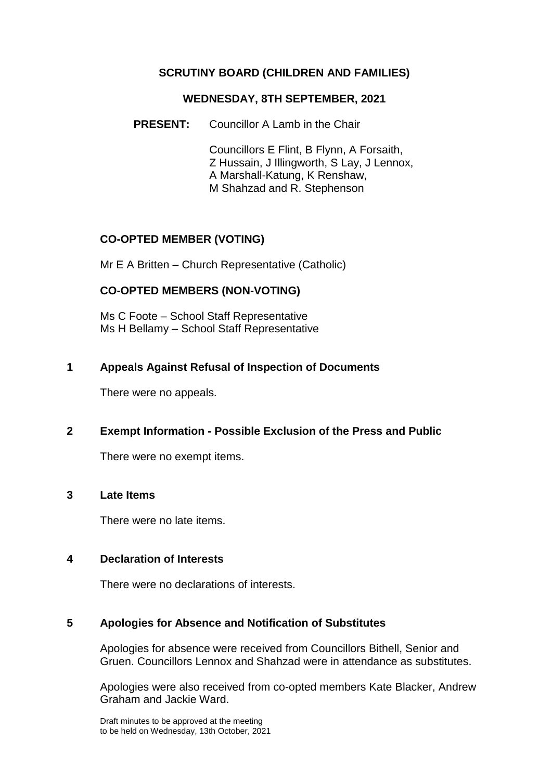### **SCRUTINY BOARD (CHILDREN AND FAMILIES)**

#### **WEDNESDAY, 8TH SEPTEMBER, 2021**

**PRESENT:** Councillor A Lamb in the Chair

Councillors E Flint, B Flynn, A Forsaith, Z Hussain, J Illingworth, S Lay, J Lennox, A Marshall-Katung, K Renshaw, M Shahzad and R. Stephenson

# **CO-OPTED MEMBER (VOTING)**

Mr E A Britten – Church Representative (Catholic)

# **CO-OPTED MEMBERS (NON-VOTING)**

Ms C Foote – School Staff Representative Ms H Bellamy – School Staff Representative

### **1 Appeals Against Refusal of Inspection of Documents**

There were no appeals.

### **2 Exempt Information - Possible Exclusion of the Press and Public**

There were no exempt items.

#### **3 Late Items**

There were no late items.

### **4 Declaration of Interests**

There were no declarations of interests.

### **5 Apologies for Absence and Notification of Substitutes**

Apologies for absence were received from Councillors Bithell, Senior and Gruen. Councillors Lennox and Shahzad were in attendance as substitutes.

Apologies were also received from co-opted members Kate Blacker, Andrew Graham and Jackie Ward.

Draft minutes to be approved at the meeting to be held on Wednesday, 13th October, 2021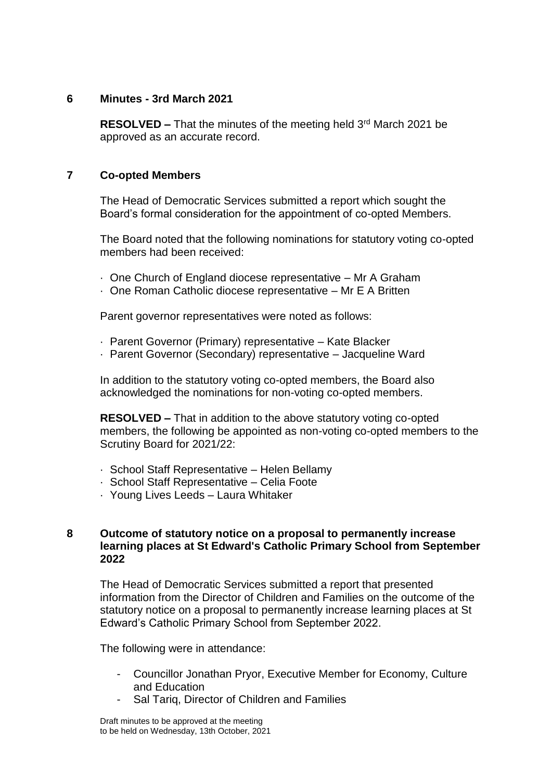### **6 Minutes - 3rd March 2021**

**RESOLVED –** That the minutes of the meeting held 3<sup>rd</sup> March 2021 be approved as an accurate record.

#### **7 Co-opted Members**

The Head of Democratic Services submitted a report which sought the Board's formal consideration for the appointment of co-opted Members.

The Board noted that the following nominations for statutory voting co-opted members had been received:

- · One Church of England diocese representative Mr A Graham
- · One Roman Catholic diocese representative Mr E A Britten

Parent governor representatives were noted as follows:

- · Parent Governor (Primary) representative Kate Blacker
- · Parent Governor (Secondary) representative Jacqueline Ward

In addition to the statutory voting co-opted members, the Board also acknowledged the nominations for non-voting co-opted members.

**RESOLVED –** That in addition to the above statutory voting co-opted members, the following be appointed as non-voting co-opted members to the Scrutiny Board for 2021/22:

- · School Staff Representative Helen Bellamy
- · School Staff Representative Celia Foote
- · Young Lives Leeds Laura Whitaker

#### **8 Outcome of statutory notice on a proposal to permanently increase learning places at St Edward's Catholic Primary School from September 2022**

The Head of Democratic Services submitted a report that presented information from the Director of Children and Families on the outcome of the statutory notice on a proposal to permanently increase learning places at St Edward's Catholic Primary School from September 2022.

The following were in attendance:

- Councillor Jonathan Pryor, Executive Member for Economy, Culture and Education
- Sal Tariq, Director of Children and Families

Draft minutes to be approved at the meeting to be held on Wednesday, 13th October, 2021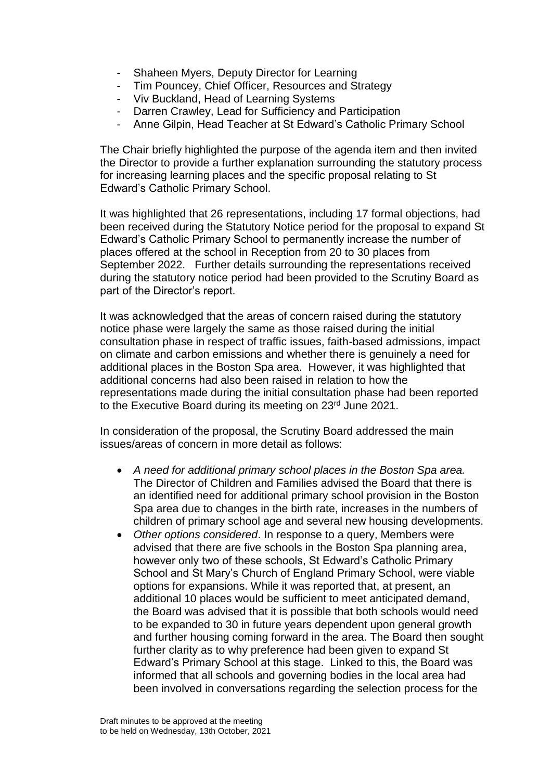- Shaheen Myers, Deputy Director for Learning
- Tim Pouncey, Chief Officer, Resources and Strategy
- Viv Buckland, Head of Learning Systems
- Darren Crawley, Lead for Sufficiency and Participation
- Anne Gilpin, Head Teacher at St Edward's Catholic Primary School

The Chair briefly highlighted the purpose of the agenda item and then invited the Director to provide a further explanation surrounding the statutory process for increasing learning places and the specific proposal relating to St Edward's Catholic Primary School.

It was highlighted that 26 representations, including 17 formal objections, had been received during the Statutory Notice period for the proposal to expand St Edward's Catholic Primary School to permanently increase the number of places offered at the school in Reception from 20 to 30 places from September 2022. Further details surrounding the representations received during the statutory notice period had been provided to the Scrutiny Board as part of the Director's report.

It was acknowledged that the areas of concern raised during the statutory notice phase were largely the same as those raised during the initial consultation phase in respect of traffic issues, faith-based admissions, impact on climate and carbon emissions and whether there is genuinely a need for additional places in the Boston Spa area. However, it was highlighted that additional concerns had also been raised in relation to how the representations made during the initial consultation phase had been reported to the Executive Board during its meeting on 23<sup>rd</sup> June 2021.

In consideration of the proposal, the Scrutiny Board addressed the main issues/areas of concern in more detail as follows:

- *A need for additional primary school places in the Boston Spa area.*  The Director of Children and Families advised the Board that there is an identified need for additional primary school provision in the Boston Spa area due to changes in the birth rate, increases in the numbers of children of primary school age and several new housing developments.
- *Other options considered*. In response to a query, Members were advised that there are five schools in the Boston Spa planning area, however only two of these schools, St Edward's Catholic Primary School and St Mary's Church of England Primary School, were viable options for expansions. While it was reported that, at present, an additional 10 places would be sufficient to meet anticipated demand, the Board was advised that it is possible that both schools would need to be expanded to 30 in future years dependent upon general growth and further housing coming forward in the area. The Board then sought further clarity as to why preference had been given to expand St Edward's Primary School at this stage. Linked to this, the Board was informed that all schools and governing bodies in the local area had been involved in conversations regarding the selection process for the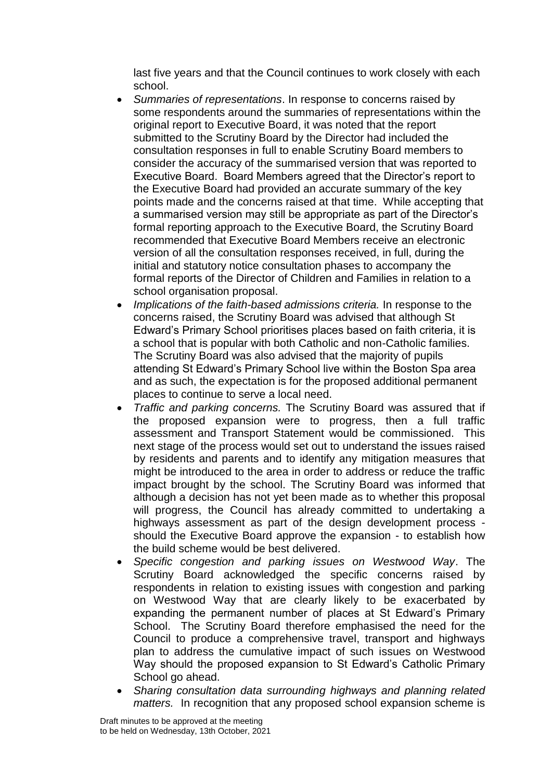last five years and that the Council continues to work closely with each school.

- *Summaries of representations*. In response to concerns raised by some respondents around the summaries of representations within the original report to Executive Board, it was noted that the report submitted to the Scrutiny Board by the Director had included the consultation responses in full to enable Scrutiny Board members to consider the accuracy of the summarised version that was reported to Executive Board. Board Members agreed that the Director's report to the Executive Board had provided an accurate summary of the key points made and the concerns raised at that time. While accepting that a summarised version may still be appropriate as part of the Director's formal reporting approach to the Executive Board, the Scrutiny Board recommended that Executive Board Members receive an electronic version of all the consultation responses received, in full, during the initial and statutory notice consultation phases to accompany the formal reports of the Director of Children and Families in relation to a school organisation proposal.
- *Implications of the faith-based admissions criteria.* In response to the concerns raised, the Scrutiny Board was advised that although St Edward's Primary School prioritises places based on faith criteria, it is a school that is popular with both Catholic and non-Catholic families. The Scrutiny Board was also advised that the majority of pupils attending St Edward's Primary School live within the Boston Spa area and as such, the expectation is for the proposed additional permanent places to continue to serve a local need.
- *Traffic and parking concerns.* The Scrutiny Board was assured that if the proposed expansion were to progress, then a full traffic assessment and Transport Statement would be commissioned. This next stage of the process would set out to understand the issues raised by residents and parents and to identify any mitigation measures that might be introduced to the area in order to address or reduce the traffic impact brought by the school. The Scrutiny Board was informed that although a decision has not yet been made as to whether this proposal will progress, the Council has already committed to undertaking a highways assessment as part of the design development process should the Executive Board approve the expansion - to establish how the build scheme would be best delivered.
- *Specific congestion and parking issues on Westwood Way*. The Scrutiny Board acknowledged the specific concerns raised by respondents in relation to existing issues with congestion and parking on Westwood Way that are clearly likely to be exacerbated by expanding the permanent number of places at St Edward's Primary School. The Scrutiny Board therefore emphasised the need for the Council to produce a comprehensive travel, transport and highways plan to address the cumulative impact of such issues on Westwood Way should the proposed expansion to St Edward's Catholic Primary School go ahead.
- *Sharing consultation data surrounding highways and planning related matters.* In recognition that any proposed school expansion scheme is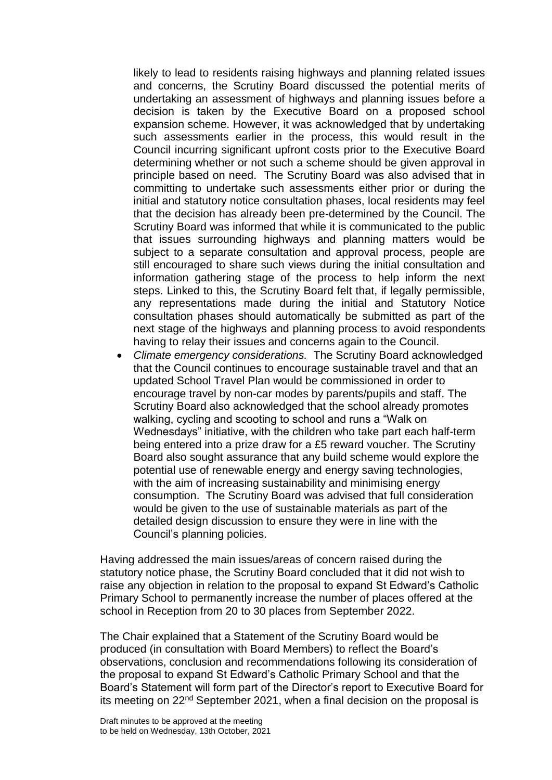likely to lead to residents raising highways and planning related issues and concerns, the Scrutiny Board discussed the potential merits of undertaking an assessment of highways and planning issues before a decision is taken by the Executive Board on a proposed school expansion scheme. However, it was acknowledged that by undertaking such assessments earlier in the process, this would result in the Council incurring significant upfront costs prior to the Executive Board determining whether or not such a scheme should be given approval in principle based on need. The Scrutiny Board was also advised that in committing to undertake such assessments either prior or during the initial and statutory notice consultation phases, local residents may feel that the decision has already been pre-determined by the Council. The Scrutiny Board was informed that while it is communicated to the public that issues surrounding highways and planning matters would be subject to a separate consultation and approval process, people are still encouraged to share such views during the initial consultation and information gathering stage of the process to help inform the next steps. Linked to this, the Scrutiny Board felt that, if legally permissible, any representations made during the initial and Statutory Notice consultation phases should automatically be submitted as part of the next stage of the highways and planning process to avoid respondents having to relay their issues and concerns again to the Council.

 *Climate emergency considerations.* The Scrutiny Board acknowledged that the Council continues to encourage sustainable travel and that an updated School Travel Plan would be commissioned in order to encourage travel by non-car modes by parents/pupils and staff. The Scrutiny Board also acknowledged that the school already promotes walking, cycling and scooting to school and runs a "Walk on Wednesdays" initiative, with the children who take part each half-term being entered into a prize draw for a £5 reward voucher. The Scrutiny Board also sought assurance that any build scheme would explore the potential use of renewable energy and energy saving technologies, with the aim of increasing sustainability and minimising energy consumption. The Scrutiny Board was advised that full consideration would be given to the use of sustainable materials as part of the detailed design discussion to ensure they were in line with the Council's planning policies.

Having addressed the main issues/areas of concern raised during the statutory notice phase, the Scrutiny Board concluded that it did not wish to raise any objection in relation to the proposal to expand St Edward's Catholic Primary School to permanently increase the number of places offered at the school in Reception from 20 to 30 places from September 2022.

The Chair explained that a Statement of the Scrutiny Board would be produced (in consultation with Board Members) to reflect the Board's observations, conclusion and recommendations following its consideration of the proposal to expand St Edward's Catholic Primary School and that the Board's Statement will form part of the Director's report to Executive Board for its meeting on 22nd September 2021, when a final decision on the proposal is